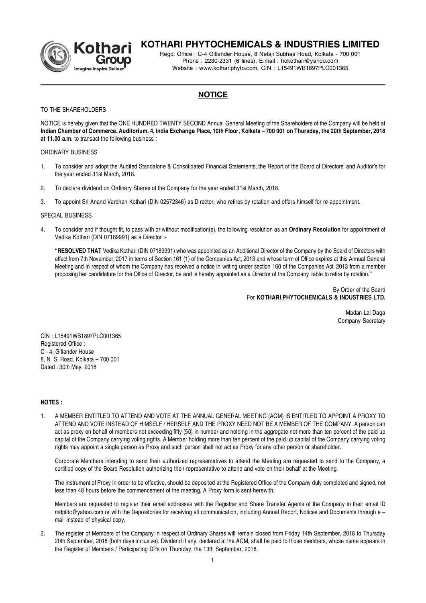

# **KOTHARI PHYTOCHEMICALS & INDUSTRIES LIMITED**

Regd. Office : C-4 Gillander House, 8 Netaji Subhas Road, Kolkata - 700 001 Phone : 2230-2331 (6 lines), E.mail : hokothari@yahoo.com Website : www.kothariphyto.com, CIN : L15491WB1897PLC001365

# **NOTICE**

### TO THE SHARFHOLDERS

NOTICE is hereby given that the ONE HUNDRED TWENTY SECOND Annual General Meeting of the Shareholders of the Company will be held at **Indian Chamber of Commerce, Auditorium, 4, India Exchange Place, 10th Floor, Kolkata – 700 001 on Thursday, the 20th September, 2018 at 11.00 a.m.** to transact the following business :

### ORDINARY BUSINESS

- 1. To consider and adopt the Audited Standalone & Consolidated Financial Statements, the Report of the Board of Directors' and Auditor's for the year ended 31st March, 2018.
- 2. To declare dividend on Ordinary Shares of the Company for the year ended 31st March, 2018.
- 3. To appoint Sri Anand Vardhan Kothari (DIN 02572346) as Director, who retires by rotation and offers himself for re-appointment.

## SPECIAL BUSINESS

4. To consider and if thought fit, to pass with or without modification(s), the following resolution as an **Ordinary Resolution** for appointment of Vedika Kothari (DIN 07189991) as a Director :-

**"RESOLVED THAT** Vedika Kothari (DIN 07189991) who was appointed as an Additional Director of the Company by the Board of Directors with effect from 7th November, 2017 in terms of Section 161 (1) of the Companies Act, 2013 and whose term of Office expires at this Annual General Meeting and in respect of whom the Company has received a notice in writing under section 160 of the Companies Act, 2013 from a member proposing her candidature for the Office of Director, be and is hereby appointed as a Director of the Company liable to retire by rotation.**"**

# By Order of the Board For **KOTHARI PHYTOCHEMICALS & INDUSTRIES LTD.**

Madan Lal Daga Company Secretary

CIN : L15491WB1897PLC001365 Registered Office : C - 4, Gillander House 8, N. S. Road, Kolkata – 700 001 Dated : 30th May, 2018

# **NOTES :**

1. A MEMBER ENTITLED TO ATTEND AND VOTE AT THE ANNUAL GENERAL MEETING (AGM) IS ENTITLED TO APPOINT A PROXY TO ATTEND AND VOTE INSTEAD OF HIMSELF / HERSELF AND THE PROXY NEED NOT BE A MEMBER OF THE COMPANY. A person can act as proxy on behalf of members not exceeding fifty (50) in number and holding in the aggregate not more than ten percent of the paid up capital of the Company carrying voting rights. A Member holding more than ten percent of the paid up capital of the Company carrying voting rights may appoint a single person as Proxy and such person shall not act as Proxy for any other person or shareholder.

Corporate Members intending to send their authorized representatives to attend the Meeting are requested to send to the Company, a certified copy of the Board Resolution authorizing their representative to attend and vote on their behalf at the Meeting.

The instrument of Proxy in order to be effective, should be deposited at the Registered Office of the Company duly completed and signed, not less than 48 hours before the commencement of the meeting. A Proxy form is sent herewith.

Members are requested to register their email addresses with the Registrar and Share Transfer Agents of the Company in their email ID mdpldc@yahoo.com or with the Depositories for receiving all communication, including Annual Report, Notices and Documents through e – mail instead of physical copy.

2. The register of Members of the Company in respect of Ordinary Shares will remain closed from Friday 14th September, 2018 to Thursday 20th September, 2018 (both days inclusive). Dividend if any, declared at the AGM, shall be paid to those members, whose name appears in the Register of Members / Participating DPs on Thursday, the 13th September, 2018.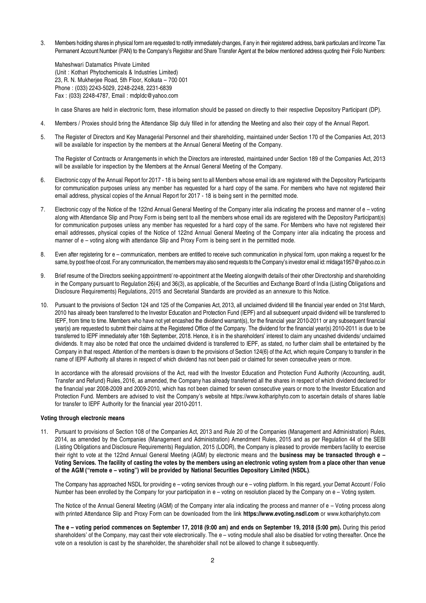3. Members holding shares in physical form are requested to notify immediately changes, if any in their registered address, bank particulars and Income Tax Permanent Account Number (PAN) to the Company's Registrar and Share Transfer Agent at the below mentioned address quoting their Folio Numbers:

Maheshwari Datamatics Private Limited (Unit : Kothari Phytochemicals & Industries Limited) 23, R. N. Mukherjee Road, 5th Floor, Kolkata – 700 001 Phone : (033) 2243-5029, 2248-2248, 2231-6839 Fax : (033) 2248-4787, Email : mdpldc@yahoo.com

In case Shares are held in electronic form, these information should be passed on directly to their respective Depository Participant (DP).

- 4. Members / Proxies should bring the Attendance Slip duly filled in for attending the Meeting and also their copy of the Annual Report.
- 5. The Register of Directors and Key Managerial Personnel and their shareholding, maintained under Section 170 of the Companies Act, 2013 will be available for inspection by the members at the Annual General Meeting of the Company.

The Register of Contracts or Arrangements in which the Directors are interested, maintained under Section 189 of the Companies Act, 2013 will be available for inspection by the Members at the Annual General Meeting of the Company.

- 6. Electronic copy of the Annual Report for 2017 18 is being sent to all Members whose email ids are registered with the Depository Participants for communication purposes unless any member has requested for a hard copy of the same. For members who have not registered their email address, physical copies of the Annual Report for 2017 - 18 is being sent in the permitted mode.
- 7. Electronic copy of the Notice of the 122nd Annual General Meeting of the Company inter alia indicating the process and manner of e voting along with Attendance Slip and Proxy Form is being sent to all the members whose email ids are registered with the Depository Participant(s) for communication purposes unless any member has requested for a hard copy of the same. For Members who have not registered their email addresses, physical copies of the Notice of 122nd Annual General Meeting of the Company inter alia indicating the process and manner of e – voting along with attendance Slip and Proxy Form is being sent in the permitted mode.
- 8. Even after registering for e communication, members are entitled to receive such communication in physical form, upon making a request for the same, by post free of cost. For any communication, the members may also send requests to the Company's investor email id: mldaga1957@yahoo.co.in
- 9. Brief resume of the Directors seeking appointment/ re-appointment at the Meeting alongwith details of their other Directorship and shareholding in the Company pursuant to Regulation 26(4) and 36(3), as applicable, of the Securities and Exchange Board of India (Listing Obligations and Disclosure Requirements) Regulations, 2015 and Secretarial Standards are provided as an annexure to this Notice.
- 10. Pursuant to the provisions of Section 124 and 125 of the Companies Act, 2013, all unclaimed dividend till the financial year ended on 31st March, 2010 has already been transferred to the Investor Education and Protection Fund (IEPF) and all subsequent unpaid dividend will be transferred to IEPF, from time to time. Members who have not yet encashed the dividend warrant(s), for the financial year 2010-2011 or any subsequent financial year(s) are requested to submit their claims at the Registered Office of the Company. The dividend for the financial year(s) 2010-2011 is due to be transferred to IEPF immediately after 16th September, 2018. Hence, it is in the shareholders' interest to claim any uncashed dividends/ unclaimed dividends. It may also be noted that once the unclaimed dividend is transferred to IEPF, as stated, no further claim shall be entertained by the Company in that respect. Attention of the members is drawn to the provisions of Section 124(6) of the Act, which require Company to transfer in the name of IEPF Authority all shares in respect of which dividend has not been paid or claimed for seven consecutive years or more.

In accordance with the aforesaid provisions of the Act, read with the Investor Education and Protection Fund Authority (Accounting, audit, Transfer and Refund) Rules, 2016, as amended, the Company has already transferred all the shares in respect of which dividend declared for the financial year 2008-2009 and 2009-2010, which has not been claimed for seven consecutive years or more to the Investor Education and Protection Fund. Members are advised to visit the Company's website at https://www.kothariphyto.com to ascertain details of shares liable for transfer to IEPF Authority for the financial year 2010-2011.

# **Voting through electronic means**

11. Pursuant to provisions of Section 108 of the Companies Act, 2013 and Rule 20 of the Companies (Management and Administration) Rules, 2014, as amended by the Companies (Management and Administration) Amendment Rules, 2015 and as per Regulation 44 of the SEBI (Listing Obligations and Disclosure Requirements) Regulation, 2015 (LODR), the Company is pleased to provide members facility to exercise their right to vote at the 122nd Annual General Meeting (AGM) by electronic means and the **business may be transacted through e – Voting Services. The facility of casting the votes by the members using an electronic voting system from a place other than venue of the AGM ("remote e – voting") will be provided by National Securities Depository Limited (NSDL)**.

The Company has approached NSDL for providing e – voting services through our e – voting platform. In this regard, your Demat Account / Folio Number has been enrolled by the Company for your participation in e – voting on resolution placed by the Company on e – Voting system.

The Notice of the Annual General Meeting (AGM) of the Company inter alia indicating the process and manner of e – Voting process along with printed Attendance Slip and Proxy Form can be downloaded from the link **https://www.evoting.nsdl.com** or www.kothariphyto.com

**The e – voting period commences on September 17, 2018 (9:00 am) and ends on September 19, 2018 (5:00 pm).** During this period shareholders' of the Company, may cast their vote electronically. The e – voting module shall also be disabled for voting thereafter. Once the vote on a resolution is cast by the shareholder, the shareholder shall not be allowed to change it subsequently.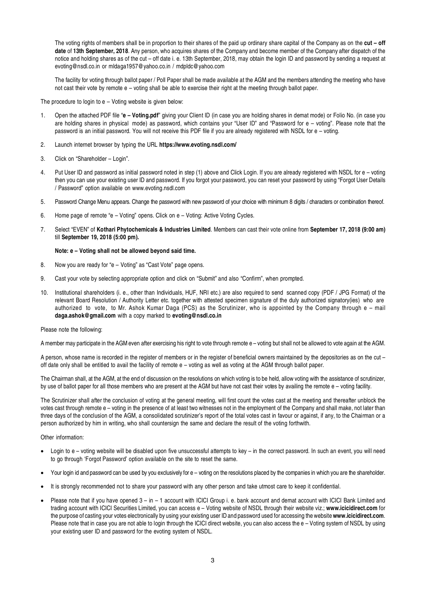The voting rights of members shall be in proportion to their shares of the paid up ordinary share capital of the Company as on the **cut – off date** of **13th September, 2018**. Any person, who acquires shares of the Company and become member of the Company after dispatch of the notice and holding shares as of the cut – off date i. e. 13th September, 2018, may obtain the login ID and password by sending a request at evoting@nsdl.co.in or mldaga1957@yahoo.co.in / mdpldc@yahoo.com

The facility for voting through ballot paper / Poll Paper shall be made available at the AGM and the members attending the meeting who have not cast their vote by remote e – voting shall be able to exercise their right at the meeting through ballot paper.

The procedure to login to  $e -$  Voting website is given below:

- 1. Open the attached PDF file "**e Voting.pdf**" giving your Client ID (in case you are holding shares in demat mode) or Folio No. (in case you are holding shares in physical mode) as password, which contains your "User ID" and "Password for e – voting". Please note that the password is an initial password. You will not receive this PDF file if you are already registered with NSDL for e – voting.
- 2. Launch internet browser by typing the URL **https://www.evoting.nsdl.com/**
- 3. Click on "Shareholder Login".
- 4. Put User ID and password as initial password noted in step (1) above and Click Login. If you are already registered with NSDL for e voting then you can use your existing user ID and password. If you forgot your password, you can reset your password by using "Forgot User Details / Password" option available on www.evoting.nsdl.com
- 5. Password Change Menu appears. Change the password with new password of your choice with minimum 8 digits / characters or combination thereof.
- 6. Home page of remote "e Voting" opens. Click on e Voting: Active Voting Cycles.
- 7. Select "EVEN" of **Kothari Phytochemicals & Industries Limited**. Members can cast their vote online from **September 17, 2018 (9:00 am)** till **September 19, 2018 (5:00 pm).**

#### **Note: e – Voting shall not be allowed beyond said time.**

- 8. Now you are ready for "e Voting" as "Cast Vote" page opens.
- 9. Cast your vote by selecting appropriate option and click on "Submit" and also "Confirm", when prompted.
- 10. Institutional shareholders (i. e., other than Individuals, HUF, NRI etc.) are also required to send scanned copy (PDF / JPG Format) of the relevant Board Resolution / Authority Letter etc. together with attested specimen signature of the duly authorized signatory(ies) who are authorized to vote, to Mr. Ashok Kumar Daga (PCS) as the Scrutinizer, who is appointed by the Company through e – mail **daga.ashok@gmail.com** with a copy marked to **evoting@nsdl.co.in**

#### Please note the following:

A member may participate in the AGM even after exercising his right to vote through remote e – voting but shall not be allowed to vote again at the AGM.

A person, whose name is recorded in the register of members or in the register of beneficial owners maintained by the depositories as on the cut – off date only shall be entitled to avail the facility of remote e – voting as well as voting at the AGM through ballot paper.

The Chairman shall, at the AGM, at the end of discussion on the resolutions on which voting is to be held, allow voting with the assistance of scrutinizer, by use of ballot paper for all those members who are present at the AGM but have not cast their votes by availing the remote e – voting facility.

The Scrutinizer shall after the conclusion of voting at the general meeting, will first count the votes cast at the meeting and thereafter unblock the votes cast through remote e – voting in the presence of at least two witnesses not in the employment of the Company and shall make, not later than three days of the conclusion of the AGM, a consolidated scrutinizer's report of the total votes cast in favour or against, if any, to the Chairman or a person authorized by him in writing, who shall countersign the same and declare the result of the voting forthwith.

### Other information:

- Login to e voting website will be disabled upon five unsuccessful attempts to key in the correct password. In such an event, you will need to go through 'Forgot Password' option available on the site to reset the same.
- Your login id and password can be used by you exclusively for e voting on the resolutions placed by the companies in which you are the shareholder.
- It is strongly recommended not to share your password with any other person and take utmost care to keep it confidential.
- Please note that if you have opened 3 in 1 account with ICICI Group i. e. bank account and demat account with ICICI Bank Limited and trading account with ICICI Securities Limited, you can access e – Voting website of NSDL through their website viz.; **www.icicidirect.com** for the purpose of casting your votes electronically by using your existing user ID and password used for accessing the website **www.icicidirect.com**. Please note that in case you are not able to login through the ICICI direct website, you can also access the e - Voting system of NSDL by using your existing user ID and password for the evoting system of NSDL.